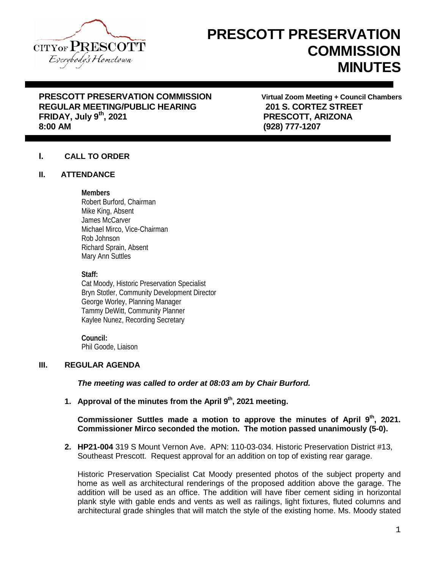

# **PRESCOTT PRESERVATION COMMISSION MINUTES**

# **PRESCOTT PRESERVATION COMMISSION Virtual Zoom Meeting + Council Chambers REGULAR MEETING/PUBLIC HEARING 201 S. CORTEZ STREET FRIDAY, July 9th, 2021 PRESCOTT, ARIZONA**

**8:00 AM (928) 777-1207**

# **I. CALL TO ORDER**

# **II. ATTENDANCE**

# **Members**

Robert Burford, Chairman Mike King, Absent James McCarver Michael Mirco, Vice-Chairman Rob Johnson Richard Sprain, Absent Mary Ann Suttles

**Staff:**

Cat Moody, Historic Preservation Specialist Bryn Stotler, Community Development Director George Worley, Planning Manager Tammy DeWitt, Community Planner Kaylee Nunez, Recording Secretary

#### **Council:** Phil Goode, Liaison

# **III. REGULAR AGENDA**

*The meeting was called to order at 08:03 am by Chair Burford.*

**1. Approval of the minutes from the April 9th, 2021 meeting.**

# **Commissioner Suttles made a motion to approve the minutes of April 9th, 2021. Commissioner Mirco seconded the motion. The motion passed unanimously (5-0).**

**2. HP21-004** 319 S Mount Vernon Ave. APN: 110-03-034. Historic Preservation District #13, Southeast Prescott. Request approval for an addition on top of existing rear garage.

Historic Preservation Specialist Cat Moody presented photos of the subject property and home as well as architectural renderings of the proposed addition above the garage. The addition will be used as an office. The addition will have fiber cement siding in horizontal plank style with gable ends and vents as well as railings, light fixtures, fluted columns and architectural grade shingles that will match the style of the existing home. Ms. Moody stated